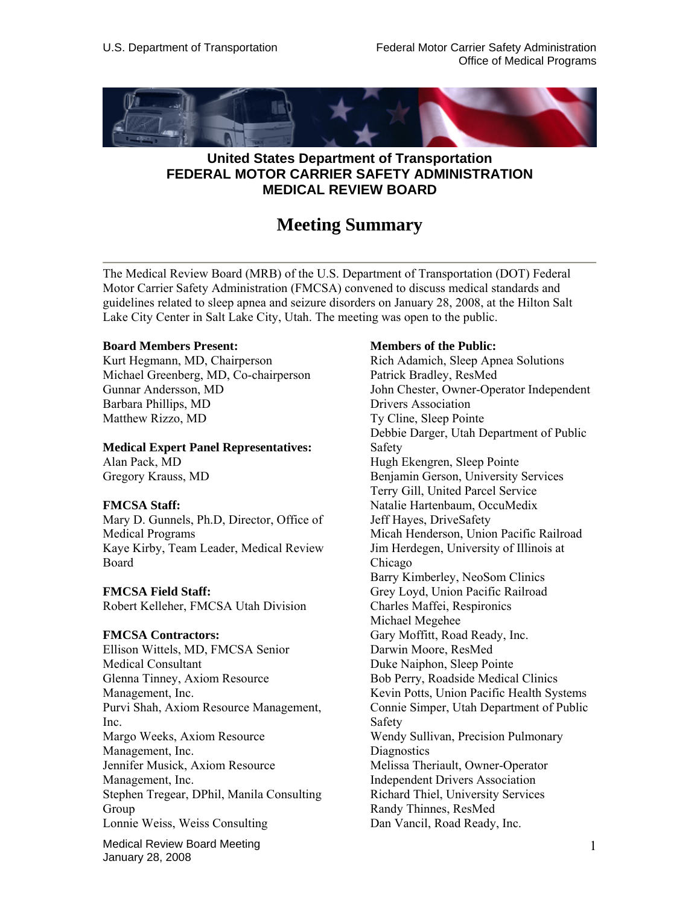

# **United States Department of Transportation FEDERAL MOTOR CARRIER SAFETY ADMINISTRATION MEDICAL REVIEW BOARD**

# **Meeting Summary**

The Medical Review Board (MRB) of the U.S. Department of Transportation (DOT) Federal Motor Carrier Safety Administration (FMCSA) convened to discuss medical standards and guidelines related to sleep apnea and seizure disorders on January 28, 2008, at the Hilton Salt Lake City Center in Salt Lake City, Utah. The meeting was open to the public.

### **Board Members Present:**

Kurt Hegmann, MD, Chairperson Michael Greenberg, MD, Co-chairperson Gunnar Andersson, MD Barbara Phillips, MD Matthew Rizzo, MD

### **Medical Expert Panel Representatives:**

Alan Pack, MD Gregory Krauss, MD

### **FMCSA Staff:**

Mary D. Gunnels, Ph.D, Director, Office of Medical Programs Kaye Kirby, Team Leader, Medical Review Board

### **FMCSA Field Staff:**

Robert Kelleher, FMCSA Utah Division

### **FMCSA Contractors:**

Ellison Wittels, MD, FMCSA Senior Medical Consultant Glenna Tinney, Axiom Resource Management, Inc. Purvi Shah, Axiom Resource Management, Inc. Margo Weeks, Axiom Resource Management, Inc. Jennifer Musick, Axiom Resource Management, Inc. Stephen Tregear, DPhil, Manila Consulting Group Lonnie Weiss, Weiss Consulting

Medical Review Board Meeting January 28, 2008

### **Members of the Public:**

Rich Adamich, Sleep Apnea Solutions Patrick Bradley, ResMed John Chester, Owner-Operator Independent Drivers Association Ty Cline, Sleep Pointe Debbie Darger, Utah Department of Public Safety Hugh Ekengren, Sleep Pointe Benjamin Gerson, University Services Terry Gill, United Parcel Service Natalie Hartenbaum, OccuMedix Jeff Hayes, DriveSafety Micah Henderson, Union Pacific Railroad Jim Herdegen, University of Illinois at Chicago Barry Kimberley, NeoSom Clinics Grey Loyd, Union Pacific Railroad Charles Maffei, Respironics Michael Megehee Gary Moffitt, Road Ready, Inc. Darwin Moore, ResMed Duke Naiphon, Sleep Pointe Bob Perry, Roadside Medical Clinics Kevin Potts, Union Pacific Health Systems Connie Simper, Utah Department of Public Safety Wendy Sullivan, Precision Pulmonary **Diagnostics** Melissa Theriault, Owner-Operator Independent Drivers Association Richard Thiel, University Services Randy Thinnes, ResMed Dan Vancil, Road Ready, Inc.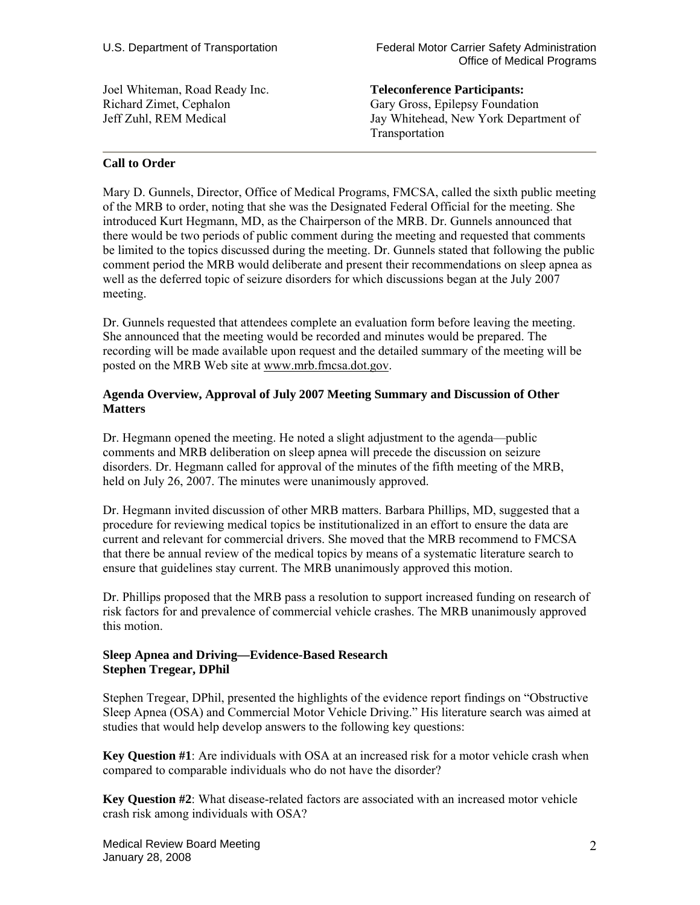Joel Whiteman, Road Ready Inc. Richard Zimet, Cephalon Jeff Zuhl, REM Medical

**Teleconference Participants:**  Gary Gross, Epilepsy Foundation Jay Whitehead, New York Department of Transportation

### **Call to Order**

Mary D. Gunnels, Director, Office of Medical Programs, FMCSA, called the sixth public meeting of the MRB to order, noting that she was the Designated Federal Official for the meeting. She introduced Kurt Hegmann, MD, as the Chairperson of the MRB. Dr. Gunnels announced that there would be two periods of public comment during the meeting and requested that comments be limited to the topics discussed during the meeting. Dr. Gunnels stated that following the public comment period the MRB would deliberate and present their recommendations on sleep apnea as well as the deferred topic of seizure disorders for which discussions began at the July 2007 meeting.

Dr. Gunnels requested that attendees complete an evaluation form before leaving the meeting. She announced that the meeting would be recorded and minutes would be prepared. The recording will be made available upon request and the detailed summary of the meeting will be posted on the MRB Web site at www.mrb.fmcsa.dot.gov.

# **Agenda Overview, Approval of July 2007 Meeting Summary and Discussion of Other Matters**

Dr. Hegmann opened the meeting. He noted a slight adjustment to the agenda—public comments and MRB deliberation on sleep apnea will precede the discussion on seizure disorders. Dr. Hegmann called for approval of the minutes of the fifth meeting of the MRB, held on July 26, 2007. The minutes were unanimously approved.

Dr. Hegmann invited discussion of other MRB matters. Barbara Phillips, MD, suggested that a procedure for reviewing medical topics be institutionalized in an effort to ensure the data are current and relevant for commercial drivers. She moved that the MRB recommend to FMCSA that there be annual review of the medical topics by means of a systematic literature search to ensure that guidelines stay current. The MRB unanimously approved this motion.

Dr. Phillips proposed that the MRB pass a resolution to support increased funding on research of risk factors for and prevalence of commercial vehicle crashes. The MRB unanimously approved this motion.

# **Sleep Apnea and Driving—Evidence-Based Research Stephen Tregear, DPhil**

Stephen Tregear, DPhil, presented the highlights of the evidence report findings on "Obstructive Sleep Apnea (OSA) and Commercial Motor Vehicle Driving." His literature search was aimed at studies that would help develop answers to the following key questions:

**Key Question #1**: Are individuals with OSA at an increased risk for a motor vehicle crash when compared to comparable individuals who do not have the disorder?

**Key Question #2**: What disease-related factors are associated with an increased motor vehicle crash risk among individuals with OSA?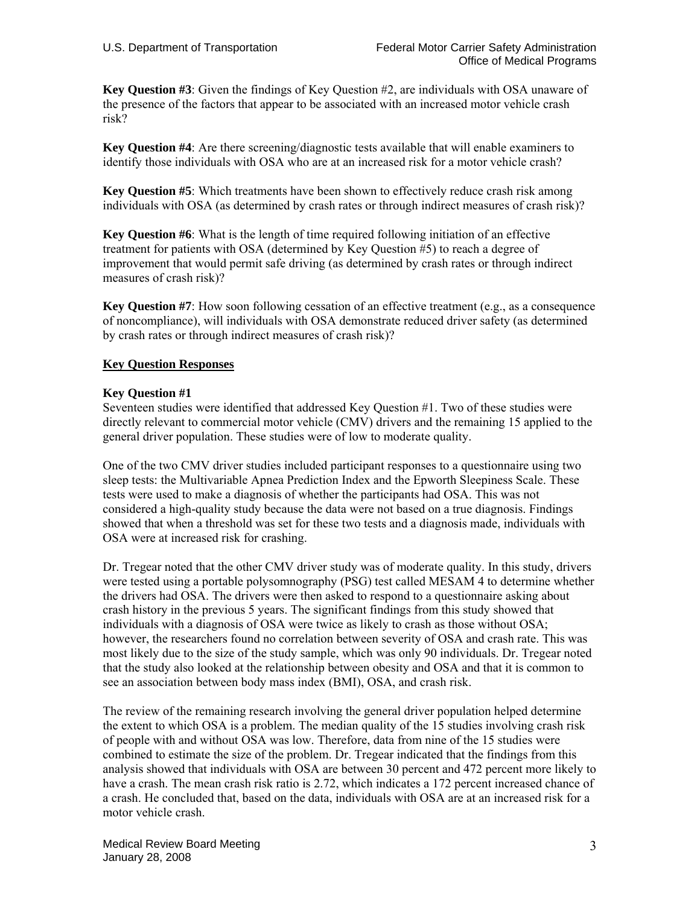**Key Question #3**: Given the findings of Key Question #2, are individuals with OSA unaware of the presence of the factors that appear to be associated with an increased motor vehicle crash risk?

**Key Question #4**: Are there screening/diagnostic tests available that will enable examiners to identify those individuals with OSA who are at an increased risk for a motor vehicle crash?

**Key Question #5**: Which treatments have been shown to effectively reduce crash risk among individuals with OSA (as determined by crash rates or through indirect measures of crash risk)?

**Key Question #6**: What is the length of time required following initiation of an effective treatment for patients with OSA (determined by Key Question #5) to reach a degree of improvement that would permit safe driving (as determined by crash rates or through indirect measures of crash risk)?

**Key Question #7**: How soon following cessation of an effective treatment (e.g., as a consequence of noncompliance), will individuals with OSA demonstrate reduced driver safety (as determined by crash rates or through indirect measures of crash risk)?

# **Key Question Responses**

### **Key Question #1**

Seventeen studies were identified that addressed Key Question #1. Two of these studies were directly relevant to commercial motor vehicle (CMV) drivers and the remaining 15 applied to the general driver population. These studies were of low to moderate quality.

One of the two CMV driver studies included participant responses to a questionnaire using two sleep tests: the Multivariable Apnea Prediction Index and the Epworth Sleepiness Scale. These tests were used to make a diagnosis of whether the participants had OSA. This was not considered a high-quality study because the data were not based on a true diagnosis. Findings showed that when a threshold was set for these two tests and a diagnosis made, individuals with OSA were at increased risk for crashing.

Dr. Tregear noted that the other CMV driver study was of moderate quality. In this study, drivers were tested using a portable polysomnography (PSG) test called MESAM 4 to determine whether the drivers had OSA. The drivers were then asked to respond to a questionnaire asking about crash history in the previous 5 years. The significant findings from this study showed that individuals with a diagnosis of OSA were twice as likely to crash as those without OSA; however, the researchers found no correlation between severity of OSA and crash rate. This was most likely due to the size of the study sample, which was only 90 individuals. Dr. Tregear noted that the study also looked at the relationship between obesity and OSA and that it is common to see an association between body mass index (BMI), OSA, and crash risk.

The review of the remaining research involving the general driver population helped determine the extent to which OSA is a problem. The median quality of the 15 studies involving crash risk of people with and without OSA was low. Therefore, data from nine of the 15 studies were combined to estimate the size of the problem. Dr. Tregear indicated that the findings from this analysis showed that individuals with OSA are between 30 percent and 472 percent more likely to have a crash. The mean crash risk ratio is 2.72, which indicates a 172 percent increased chance of a crash. He concluded that, based on the data, individuals with OSA are at an increased risk for a motor vehicle crash.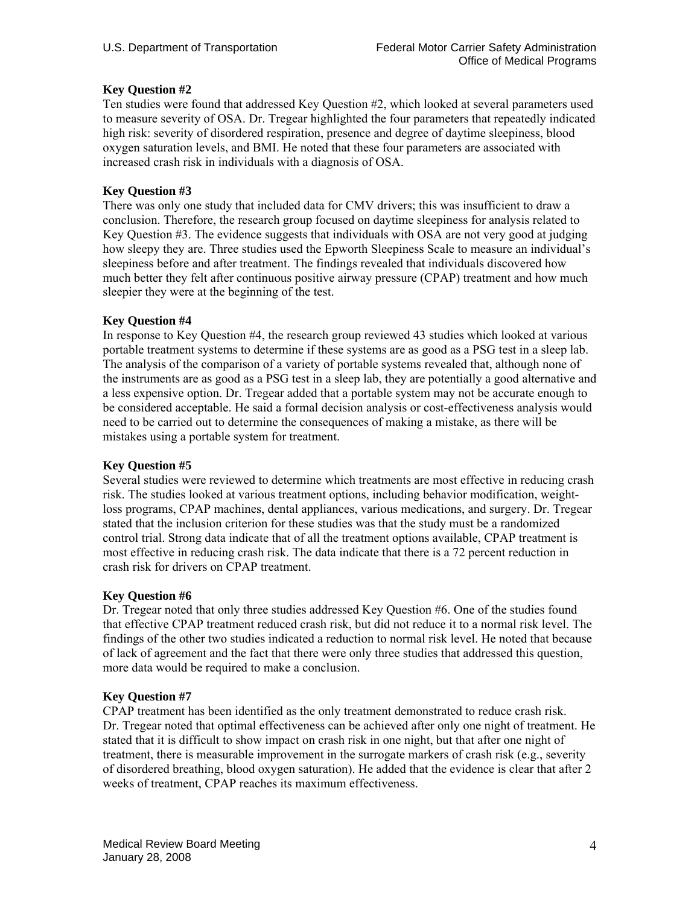# **Key Question #2**

Ten studies were found that addressed Key Question #2, which looked at several parameters used to measure severity of OSA. Dr. Tregear highlighted the four parameters that repeatedly indicated high risk: severity of disordered respiration, presence and degree of daytime sleepiness, blood oxygen saturation levels, and BMI. He noted that these four parameters are associated with increased crash risk in individuals with a diagnosis of OSA.

# **Key Question #3**

There was only one study that included data for CMV drivers; this was insufficient to draw a conclusion. Therefore, the research group focused on daytime sleepiness for analysis related to Key Question #3. The evidence suggests that individuals with OSA are not very good at judging how sleepy they are. Three studies used the Epworth Sleepiness Scale to measure an individual's sleepiness before and after treatment. The findings revealed that individuals discovered how much better they felt after continuous positive airway pressure (CPAP) treatment and how much sleepier they were at the beginning of the test.

# **Key Question #4**

In response to Key Question #4, the research group reviewed 43 studies which looked at various portable treatment systems to determine if these systems are as good as a PSG test in a sleep lab. The analysis of the comparison of a variety of portable systems revealed that, although none of the instruments are as good as a PSG test in a sleep lab, they are potentially a good alternative and a less expensive option. Dr. Tregear added that a portable system may not be accurate enough to be considered acceptable. He said a formal decision analysis or cost-effectiveness analysis would need to be carried out to determine the consequences of making a mistake, as there will be mistakes using a portable system for treatment.

# **Key Question #5**

Several studies were reviewed to determine which treatments are most effective in reducing crash risk. The studies looked at various treatment options, including behavior modification, weightloss programs, CPAP machines, dental appliances, various medications, and surgery. Dr. Tregear stated that the inclusion criterion for these studies was that the study must be a randomized control trial. Strong data indicate that of all the treatment options available, CPAP treatment is most effective in reducing crash risk. The data indicate that there is a 72 percent reduction in crash risk for drivers on CPAP treatment.

### **Key Question #6**

Dr. Tregear noted that only three studies addressed Key Question #6. One of the studies found that effective CPAP treatment reduced crash risk, but did not reduce it to a normal risk level. The findings of the other two studies indicated a reduction to normal risk level. He noted that because of lack of agreement and the fact that there were only three studies that addressed this question, more data would be required to make a conclusion.

# **Key Question #7**

CPAP treatment has been identified as the only treatment demonstrated to reduce crash risk. Dr. Tregear noted that optimal effectiveness can be achieved after only one night of treatment. He stated that it is difficult to show impact on crash risk in one night, but that after one night of treatment, there is measurable improvement in the surrogate markers of crash risk (e.g., severity of disordered breathing, blood oxygen saturation). He added that the evidence is clear that after 2 weeks of treatment, CPAP reaches its maximum effectiveness.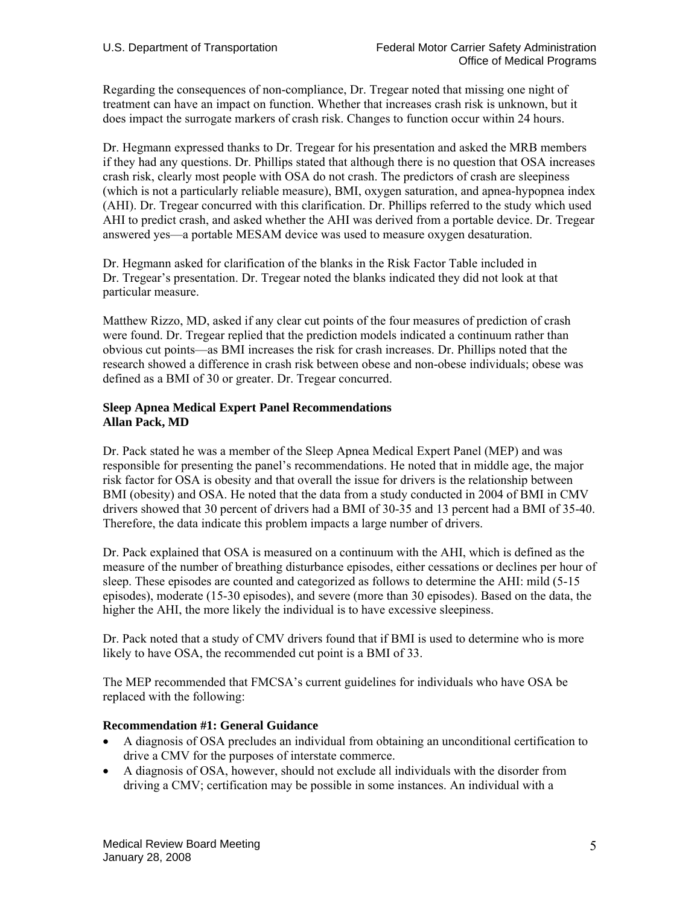Regarding the consequences of non-compliance, Dr. Tregear noted that missing one night of treatment can have an impact on function. Whether that increases crash risk is unknown, but it does impact the surrogate markers of crash risk. Changes to function occur within 24 hours.

Dr. Hegmann expressed thanks to Dr. Tregear for his presentation and asked the MRB members if they had any questions. Dr. Phillips stated that although there is no question that OSA increases crash risk, clearly most people with OSA do not crash. The predictors of crash are sleepiness (which is not a particularly reliable measure), BMI, oxygen saturation, and apnea-hypopnea index (AHI). Dr. Tregear concurred with this clarification. Dr. Phillips referred to the study which used AHI to predict crash, and asked whether the AHI was derived from a portable device. Dr. Tregear answered yes—a portable MESAM device was used to measure oxygen desaturation.

Dr. Hegmann asked for clarification of the blanks in the Risk Factor Table included in Dr. Tregear's presentation. Dr. Tregear noted the blanks indicated they did not look at that particular measure.

Matthew Rizzo, MD, asked if any clear cut points of the four measures of prediction of crash were found. Dr. Tregear replied that the prediction models indicated a continuum rather than obvious cut points—as BMI increases the risk for crash increases. Dr. Phillips noted that the research showed a difference in crash risk between obese and non-obese individuals; obese was defined as a BMI of 30 or greater. Dr. Tregear concurred.

# **Sleep Apnea Medical Expert Panel Recommendations Allan Pack, MD**

Dr. Pack stated he was a member of the Sleep Apnea Medical Expert Panel (MEP) and was responsible for presenting the panel's recommendations. He noted that in middle age, the major risk factor for OSA is obesity and that overall the issue for drivers is the relationship between BMI (obesity) and OSA. He noted that the data from a study conducted in 2004 of BMI in CMV drivers showed that 30 percent of drivers had a BMI of 30-35 and 13 percent had a BMI of 35-40. Therefore, the data indicate this problem impacts a large number of drivers.

Dr. Pack explained that OSA is measured on a continuum with the AHI, which is defined as the measure of the number of breathing disturbance episodes, either cessations or declines per hour of sleep. These episodes are counted and categorized as follows to determine the AHI: mild (5-15 episodes), moderate (15-30 episodes), and severe (more than 30 episodes). Based on the data, the higher the AHI, the more likely the individual is to have excessive sleepiness.

Dr. Pack noted that a study of CMV drivers found that if BMI is used to determine who is more likely to have OSA, the recommended cut point is a BMI of 33.

The MEP recommended that FMCSA's current guidelines for individuals who have OSA be replaced with the following:

# **Recommendation #1: General Guidance**

- A diagnosis of OSA precludes an individual from obtaining an unconditional certification to drive a CMV for the purposes of interstate commerce.
- A diagnosis of OSA, however, should not exclude all individuals with the disorder from driving a CMV; certification may be possible in some instances. An individual with a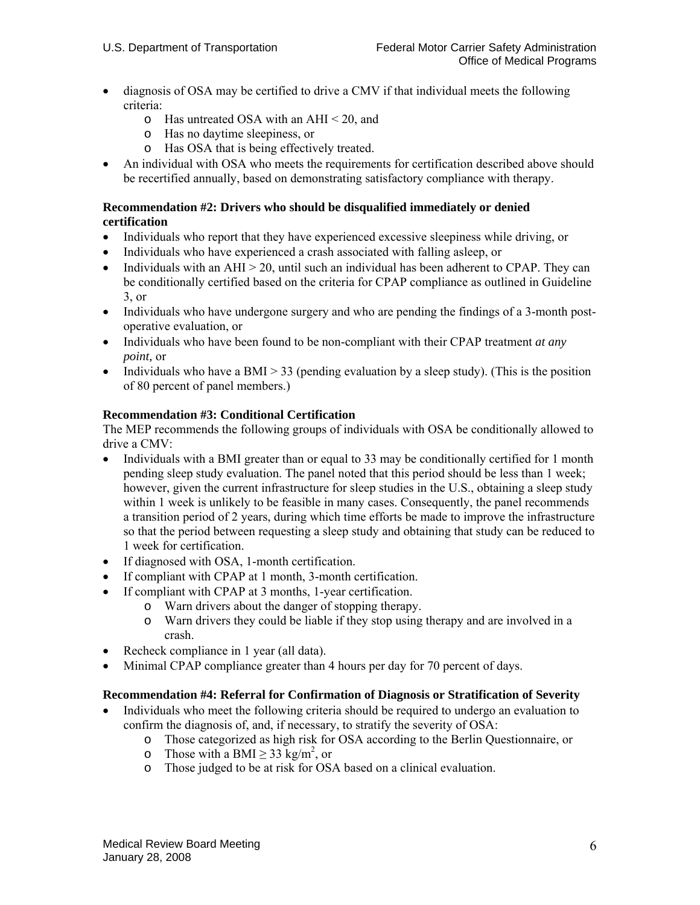- diagnosis of OSA may be certified to drive a CMV if that individual meets the following criteria:
	- o Has untreated OSA with an AHI < 20, and
	- o Has no daytime sleepiness, or
	- o Has OSA that is being effectively treated.
- An individual with OSA who meets the requirements for certification described above should be recertified annually, based on demonstrating satisfactory compliance with therapy.

### **Recommendation #2: Drivers who should be disqualified immediately or denied certification**

- Individuals who report that they have experienced excessive sleepiness while driving, or
- Individuals who have experienced a crash associated with falling asleep, or
- Individuals with an  $AHI > 20$ , until such an individual has been adherent to CPAP. They can be conditionally certified based on the criteria for CPAP compliance as outlined in Guideline 3, or
- Individuals who have undergone surgery and who are pending the findings of a 3-month postoperative evaluation, or
- Individuals who have been found to be non-compliant with their CPAP treatment *at any point,* or
- Individuals who have a BMI  $> 33$  (pending evaluation by a sleep study). (This is the position of 80 percent of panel members.)

# **Recommendation #3: Conditional Certification**

The MEP recommends the following groups of individuals with OSA be conditionally allowed to drive a CMV:

- Individuals with a BMI greater than or equal to 33 may be conditionally certified for 1 month pending sleep study evaluation. The panel noted that this period should be less than 1 week; however, given the current infrastructure for sleep studies in the U.S., obtaining a sleep study within 1 week is unlikely to be feasible in many cases. Consequently, the panel recommends a transition period of 2 years, during which time efforts be made to improve the infrastructure so that the period between requesting a sleep study and obtaining that study can be reduced to 1 week for certification.
- If diagnosed with OSA, 1-month certification.
- If compliant with CPAP at 1 month, 3-month certification.
- If compliant with CPAP at 3 months, 1-year certification.
	- o Warn drivers about the danger of stopping therapy.
	- o Warn drivers they could be liable if they stop using therapy and are involved in a crash.
- Recheck compliance in 1 year (all data).
- Minimal CPAP compliance greater than 4 hours per day for 70 percent of days.

### **Recommendation #4: Referral for Confirmation of Diagnosis or Stratification of Severity**

- Individuals who meet the following criteria should be required to undergo an evaluation to confirm the diagnosis of, and, if necessary, to stratify the severity of OSA:
	- o Those categorized as high risk for OSA according to the Berlin Questionnaire, or
	- o Those with a BMI  $\geq$  33 kg/m<sup>2</sup>, or
	- o Those judged to be at risk for OSA based on a clinical evaluation.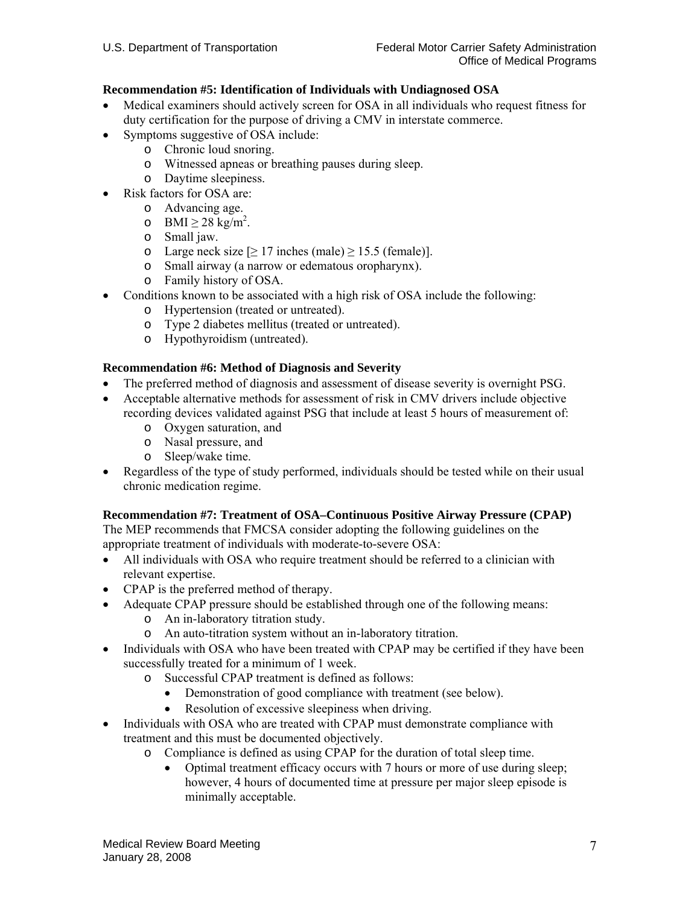# **Recommendation #5: Identification of Individuals with Undiagnosed OSA**

- Medical examiners should actively screen for OSA in all individuals who request fitness for duty certification for the purpose of driving a CMV in interstate commerce.
- Symptoms suggestive of OSA include:
	- o Chronic loud snoring.
	- o Witnessed apneas or breathing pauses during sleep.
	- o Daytime sleepiness.
- Risk factors for OSA are:
	- o Advancing age.
	- o BMI  $\geq 28$  kg/m<sup>2</sup>.
	- o Small jaw.
	- o Large neck size  $\geq 17$  inches (male)  $\geq 15.5$  (female)].
	- o Small airway (a narrow or edematous oropharynx).
	- o Family history of OSA.
- Conditions known to be associated with a high risk of OSA include the following:
	- o Hypertension (treated or untreated).
	- o Type 2 diabetes mellitus (treated or untreated).
	- o Hypothyroidism (untreated).

# **Recommendation #6: Method of Diagnosis and Severity**

- The preferred method of diagnosis and assessment of disease severity is overnight PSG.
- Acceptable alternative methods for assessment of risk in CMV drivers include objective recording devices validated against PSG that include at least 5 hours of measurement of:
	- o Oxygen saturation, and
	- o Nasal pressure, and
	- o Sleep/wake time.
- Regardless of the type of study performed, individuals should be tested while on their usual chronic medication regime.

# **Recommendation #7: Treatment of OSA–Continuous Positive Airway Pressure (CPAP)**

The MEP recommends that FMCSA consider adopting the following guidelines on the appropriate treatment of individuals with moderate-to-severe OSA:

- All individuals with OSA who require treatment should be referred to a clinician with relevant expertise.
- CPAP is the preferred method of therapy.
- Adequate CPAP pressure should be established through one of the following means:
	- o An in-laboratory titration study.
	- o An auto-titration system without an in-laboratory titration.
- Individuals with OSA who have been treated with CPAP may be certified if they have been successfully treated for a minimum of 1 week.
	- o Successful CPAP treatment is defined as follows:
		- Demonstration of good compliance with treatment (see below).
		- Resolution of excessive sleepiness when driving.
- Individuals with OSA who are treated with CPAP must demonstrate compliance with treatment and this must be documented objectively.
	- o Compliance is defined as using CPAP for the duration of total sleep time.
		- Optimal treatment efficacy occurs with 7 hours or more of use during sleep; however, 4 hours of documented time at pressure per major sleep episode is minimally acceptable.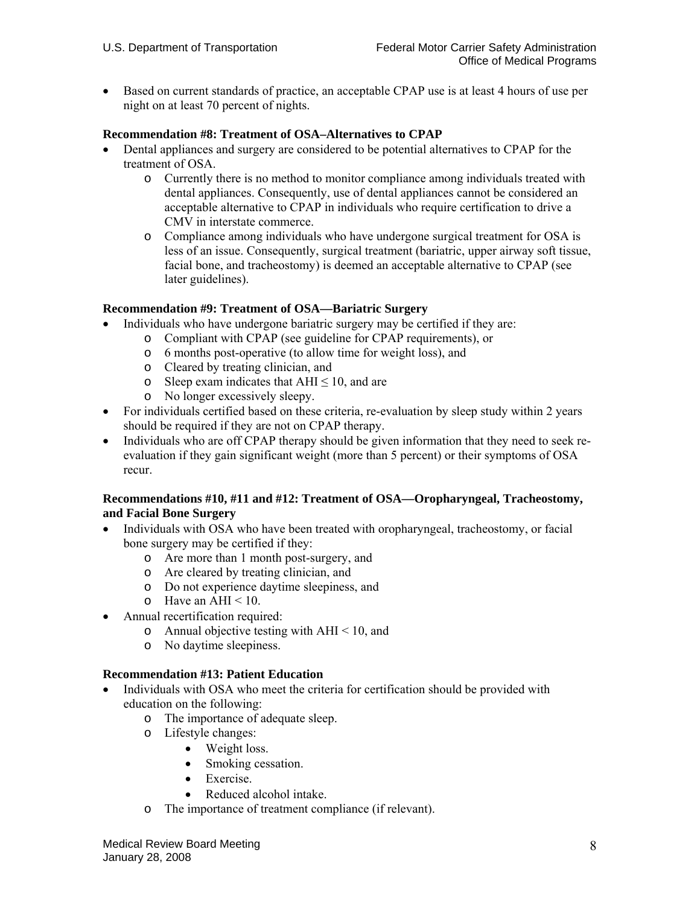• Based on current standards of practice, an acceptable CPAP use is at least 4 hours of use per night on at least 70 percent of nights.

### **Recommendation #8: Treatment of OSA–Alternatives to CPAP**

- Dental appliances and surgery are considered to be potential alternatives to CPAP for the treatment of OSA.
	- o Currently there is no method to monitor compliance among individuals treated with dental appliances. Consequently, use of dental appliances cannot be considered an acceptable alternative to CPAP in individuals who require certification to drive a CMV in interstate commerce.
	- o Compliance among individuals who have undergone surgical treatment for OSA is less of an issue. Consequently, surgical treatment (bariatric, upper airway soft tissue, facial bone, and tracheostomy) is deemed an acceptable alternative to CPAP (see later guidelines).

### **Recommendation #9: Treatment of OSA—Bariatric Surgery**

- Individuals who have undergone bariatric surgery may be certified if they are:
	- o Compliant with CPAP (see guideline for CPAP requirements), or
	- o 6 months post-operative (to allow time for weight loss), and
	- o Cleared by treating clinician, and
	- o Sleep exam indicates that  $AHI \leq 10$ , and are
	- o No longer excessively sleepy.
- For individuals certified based on these criteria, re-evaluation by sleep study within 2 years should be required if they are not on CPAP therapy.
- Individuals who are off CPAP therapy should be given information that they need to seek reevaluation if they gain significant weight (more than 5 percent) or their symptoms of OSA recur.

# **Recommendations #10, #11 and #12: Treatment of OSA—Oropharyngeal, Tracheostomy, and Facial Bone Surgery**

- Individuals with OSA who have been treated with oropharyngeal, tracheostomy, or facial bone surgery may be certified if they:
	- o Are more than 1 month post-surgery, and
	- o Are cleared by treating clinician, and
	- o Do not experience daytime sleepiness, and
	- $\circ$  Have an AHI < 10.
- Annual recertification required:
	- o Annual objective testing with  $AHI < 10$ , and
	- o No daytime sleepiness.

# **Recommendation #13: Patient Education**

- Individuals with OSA who meet the criteria for certification should be provided with education on the following:
	- o The importance of adequate sleep.
	- o Lifestyle changes:
		- Weight loss.
		- Smoking cessation.
		- Exercise.
		- Reduced alcohol intake.
	- o The importance of treatment compliance (if relevant).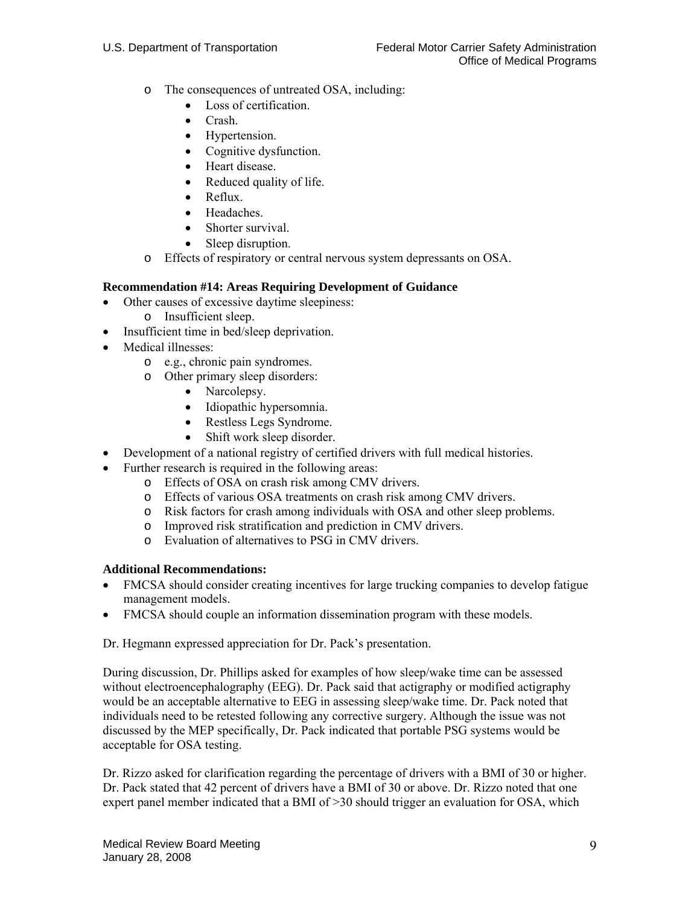- o The consequences of untreated OSA, including:
	- Loss of certification.
	- Crash.
	- Hypertension.
	- Cognitive dysfunction.
	- Heart disease.
	- Reduced quality of life.
	- Reflux.
	- Headaches.
	- Shorter survival.
	- Sleep disruption.
- o Effects of respiratory or central nervous system depressants on OSA.

# **Recommendation #14: Areas Requiring Development of Guidance**

- Other causes of excessive daytime sleepiness:
	- o Insufficient sleep.
- Insufficient time in bed/sleep deprivation.
- Medical illnesses:
	- o e.g., chronic pain syndromes.
	- o Other primary sleep disorders:
		- Narcolepsy.
		- Idiopathic hypersomnia.
		- Restless Legs Syndrome.
		- Shift work sleep disorder.
- Development of a national registry of certified drivers with full medical histories.
- Further research is required in the following areas:
	- o Effects of OSA on crash risk among CMV drivers.
	- o Effects of various OSA treatments on crash risk among CMV drivers.
	- o Risk factors for crash among individuals with OSA and other sleep problems.
	- o Improved risk stratification and prediction in CMV drivers.
	- o Evaluation of alternatives to PSG in CMV drivers.

# **Additional Recommendations:**

- FMCSA should consider creating incentives for large trucking companies to develop fatigue management models.
- FMCSA should couple an information dissemination program with these models.

Dr. Hegmann expressed appreciation for Dr. Pack's presentation.

During discussion, Dr. Phillips asked for examples of how sleep/wake time can be assessed without electroencephalography (EEG). Dr. Pack said that actigraphy or modified actigraphy would be an acceptable alternative to EEG in assessing sleep/wake time. Dr. Pack noted that individuals need to be retested following any corrective surgery. Although the issue was not discussed by the MEP specifically, Dr. Pack indicated that portable PSG systems would be acceptable for OSA testing.

Dr. Rizzo asked for clarification regarding the percentage of drivers with a BMI of 30 or higher. Dr. Pack stated that 42 percent of drivers have a BMI of 30 or above. Dr. Rizzo noted that one expert panel member indicated that a BMI of  $>30$  should trigger an evaluation for OSA, which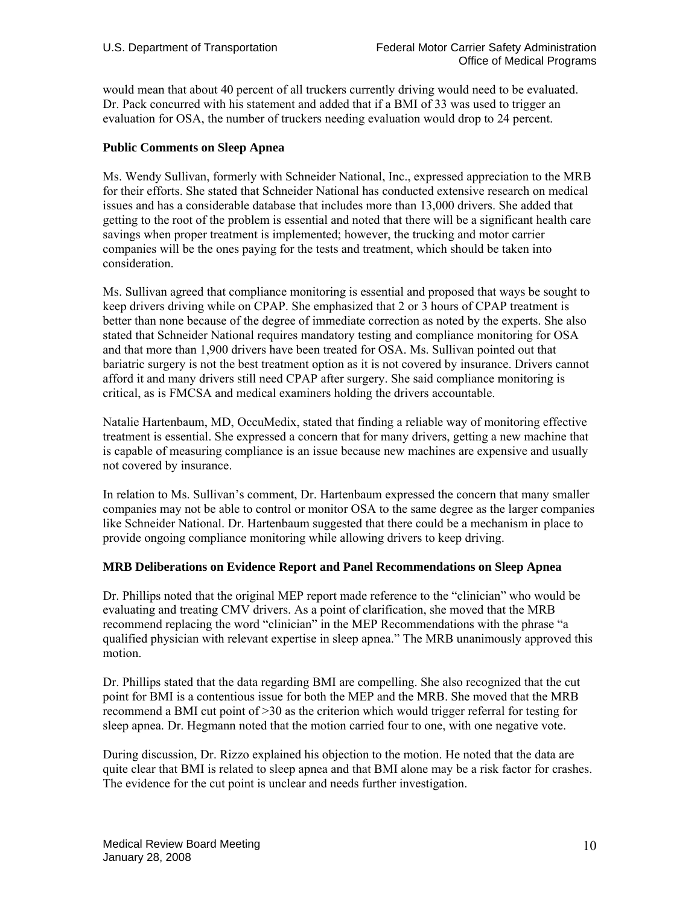would mean that about 40 percent of all truckers currently driving would need to be evaluated. Dr. Pack concurred with his statement and added that if a BMI of 33 was used to trigger an evaluation for OSA, the number of truckers needing evaluation would drop to 24 percent.

# **Public Comments on Sleep Apnea**

Ms. Wendy Sullivan, formerly with Schneider National, Inc., expressed appreciation to the MRB for their efforts. She stated that Schneider National has conducted extensive research on medical issues and has a considerable database that includes more than 13,000 drivers. She added that getting to the root of the problem is essential and noted that there will be a significant health care savings when proper treatment is implemented; however, the trucking and motor carrier companies will be the ones paying for the tests and treatment, which should be taken into consideration.

Ms. Sullivan agreed that compliance monitoring is essential and proposed that ways be sought to keep drivers driving while on CPAP. She emphasized that 2 or 3 hours of CPAP treatment is better than none because of the degree of immediate correction as noted by the experts. She also stated that Schneider National requires mandatory testing and compliance monitoring for OSA and that more than 1,900 drivers have been treated for OSA. Ms. Sullivan pointed out that bariatric surgery is not the best treatment option as it is not covered by insurance. Drivers cannot afford it and many drivers still need CPAP after surgery. She said compliance monitoring is critical, as is FMCSA and medical examiners holding the drivers accountable.

Natalie Hartenbaum, MD, OccuMedix, stated that finding a reliable way of monitoring effective treatment is essential. She expressed a concern that for many drivers, getting a new machine that is capable of measuring compliance is an issue because new machines are expensive and usually not covered by insurance.

In relation to Ms. Sullivan's comment, Dr. Hartenbaum expressed the concern that many smaller companies may not be able to control or monitor OSA to the same degree as the larger companies like Schneider National. Dr. Hartenbaum suggested that there could be a mechanism in place to provide ongoing compliance monitoring while allowing drivers to keep driving.

# **MRB Deliberations on Evidence Report and Panel Recommendations on Sleep Apnea**

Dr. Phillips noted that the original MEP report made reference to the "clinician" who would be evaluating and treating CMV drivers. As a point of clarification, she moved that the MRB recommend replacing the word "clinician" in the MEP Recommendations with the phrase "a qualified physician with relevant expertise in sleep apnea." The MRB unanimously approved this motion.

Dr. Phillips stated that the data regarding BMI are compelling. She also recognized that the cut point for BMI is a contentious issue for both the MEP and the MRB. She moved that the MRB recommend a BMI cut point of >30 as the criterion which would trigger referral for testing for sleep apnea. Dr. Hegmann noted that the motion carried four to one, with one negative vote.

During discussion, Dr. Rizzo explained his objection to the motion. He noted that the data are quite clear that BMI is related to sleep apnea and that BMI alone may be a risk factor for crashes. The evidence for the cut point is unclear and needs further investigation.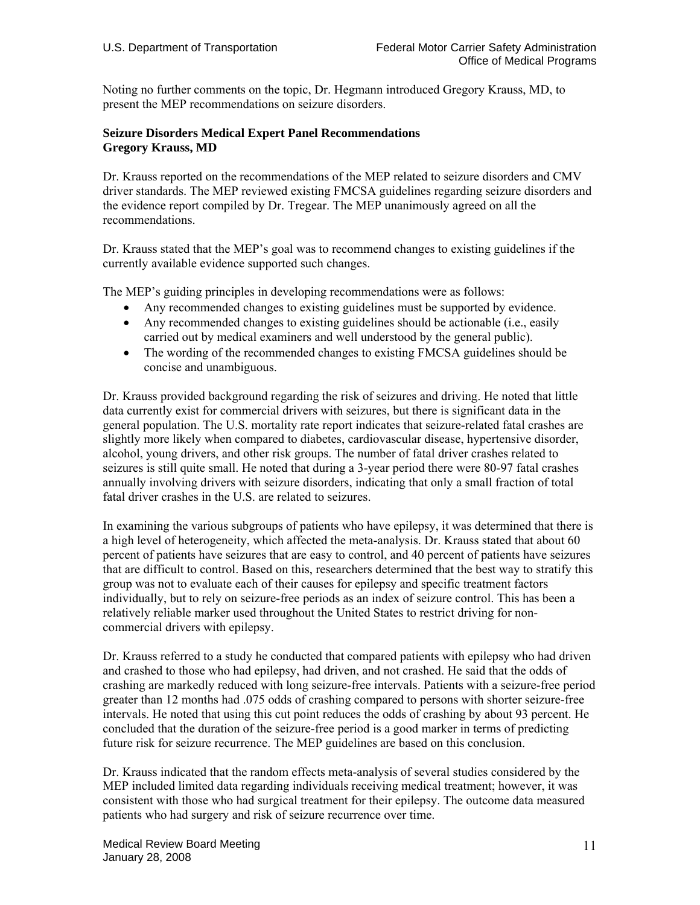Noting no further comments on the topic, Dr. Hegmann introduced Gregory Krauss, MD, to present the MEP recommendations on seizure disorders.

# **Seizure Disorders Medical Expert Panel Recommendations Gregory Krauss, MD**

Dr. Krauss reported on the recommendations of the MEP related to seizure disorders and CMV driver standards. The MEP reviewed existing FMCSA guidelines regarding seizure disorders and the evidence report compiled by Dr. Tregear. The MEP unanimously agreed on all the recommendations.

Dr. Krauss stated that the MEP's goal was to recommend changes to existing guidelines if the currently available evidence supported such changes.

The MEP's guiding principles in developing recommendations were as follows:

- Any recommended changes to existing guidelines must be supported by evidence.
- Any recommended changes to existing guidelines should be actionable (i.e., easily carried out by medical examiners and well understood by the general public).
- The wording of the recommended changes to existing FMCSA guidelines should be concise and unambiguous.

Dr. Krauss provided background regarding the risk of seizures and driving. He noted that little data currently exist for commercial drivers with seizures, but there is significant data in the general population. The U.S. mortality rate report indicates that seizure-related fatal crashes are slightly more likely when compared to diabetes, cardiovascular disease, hypertensive disorder, alcohol, young drivers, and other risk groups. The number of fatal driver crashes related to seizures is still quite small. He noted that during a 3-year period there were 80-97 fatal crashes annually involving drivers with seizure disorders, indicating that only a small fraction of total fatal driver crashes in the U.S. are related to seizures.

In examining the various subgroups of patients who have epilepsy, it was determined that there is a high level of heterogeneity, which affected the meta-analysis. Dr. Krauss stated that about 60 percent of patients have seizures that are easy to control, and 40 percent of patients have seizures that are difficult to control. Based on this, researchers determined that the best way to stratify this group was not to evaluate each of their causes for epilepsy and specific treatment factors individually, but to rely on seizure-free periods as an index of seizure control. This has been a relatively reliable marker used throughout the United States to restrict driving for noncommercial drivers with epilepsy.

Dr. Krauss referred to a study he conducted that compared patients with epilepsy who had driven and crashed to those who had epilepsy, had driven, and not crashed. He said that the odds of crashing are markedly reduced with long seizure-free intervals. Patients with a seizure-free period greater than 12 months had .075 odds of crashing compared to persons with shorter seizure-free intervals. He noted that using this cut point reduces the odds of crashing by about 93 percent. He concluded that the duration of the seizure-free period is a good marker in terms of predicting future risk for seizure recurrence. The MEP guidelines are based on this conclusion.

Dr. Krauss indicated that the random effects meta-analysis of several studies considered by the MEP included limited data regarding individuals receiving medical treatment; however, it was consistent with those who had surgical treatment for their epilepsy. The outcome data measured patients who had surgery and risk of seizure recurrence over time.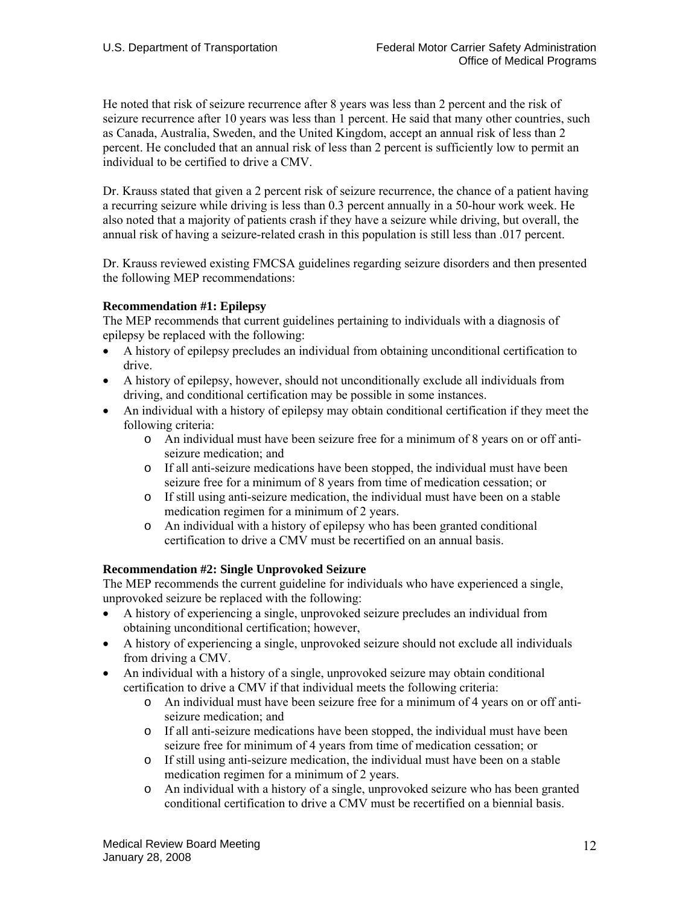He noted that risk of seizure recurrence after 8 years was less than 2 percent and the risk of seizure recurrence after 10 years was less than 1 percent. He said that many other countries, such as Canada, Australia, Sweden, and the United Kingdom, accept an annual risk of less than 2 percent. He concluded that an annual risk of less than 2 percent is sufficiently low to permit an individual to be certified to drive a CMV.

Dr. Krauss stated that given a 2 percent risk of seizure recurrence, the chance of a patient having a recurring seizure while driving is less than 0.3 percent annually in a 50-hour work week. He also noted that a majority of patients crash if they have a seizure while driving, but overall, the annual risk of having a seizure-related crash in this population is still less than .017 percent.

Dr. Krauss reviewed existing FMCSA guidelines regarding seizure disorders and then presented the following MEP recommendations:

# **Recommendation #1: Epilepsy**

The MEP recommends that current guidelines pertaining to individuals with a diagnosis of epilepsy be replaced with the following:

- A history of epilepsy precludes an individual from obtaining unconditional certification to drive.
- A history of epilepsy, however, should not unconditionally exclude all individuals from driving, and conditional certification may be possible in some instances.
- An individual with a history of epilepsy may obtain conditional certification if they meet the following criteria:
	- o An individual must have been seizure free for a minimum of 8 years on or off antiseizure medication; and
	- o If all anti-seizure medications have been stopped, the individual must have been seizure free for a minimum of 8 years from time of medication cessation; or
	- o If still using anti-seizure medication, the individual must have been on a stable medication regimen for a minimum of 2 years.
	- o An individual with a history of epilepsy who has been granted conditional certification to drive a CMV must be recertified on an annual basis.

### **Recommendation #2: Single Unprovoked Seizure**

The MEP recommends the current guideline for individuals who have experienced a single, unprovoked seizure be replaced with the following:

- A history of experiencing a single, unprovoked seizure precludes an individual from obtaining unconditional certification; however,
- A history of experiencing a single, unprovoked seizure should not exclude all individuals from driving a CMV.
- An individual with a history of a single, unprovoked seizure may obtain conditional certification to drive a CMV if that individual meets the following criteria:
	- o An individual must have been seizure free for a minimum of 4 years on or off antiseizure medication; and
	- o If all anti-seizure medications have been stopped, the individual must have been seizure free for minimum of 4 years from time of medication cessation; or
	- o If still using anti-seizure medication, the individual must have been on a stable medication regimen for a minimum of 2 years.
	- o An individual with a history of a single, unprovoked seizure who has been granted conditional certification to drive a CMV must be recertified on a biennial basis.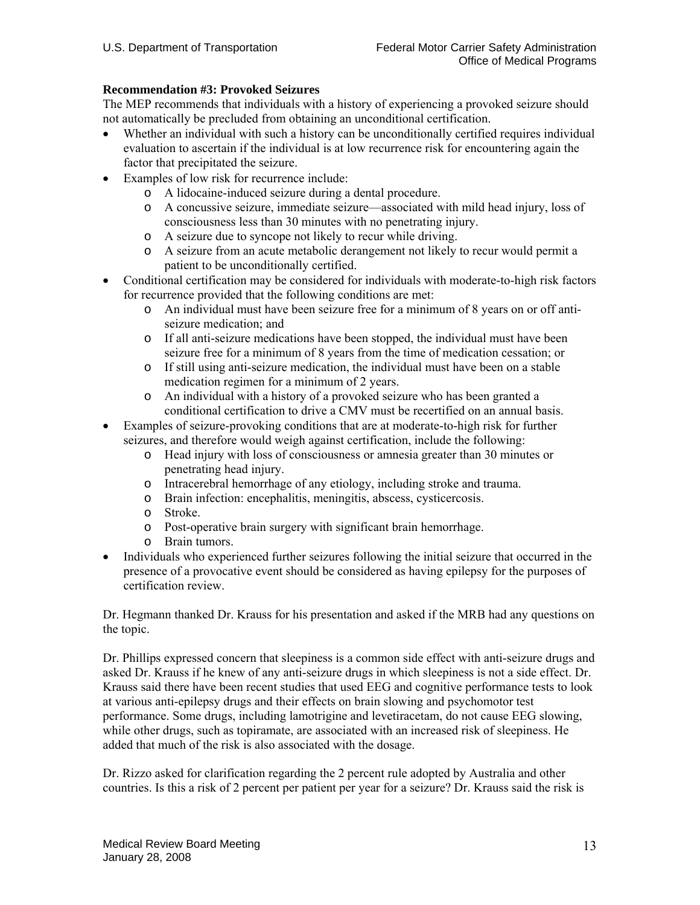# **Recommendation #3: Provoked Seizures**

The MEP recommends that individuals with a history of experiencing a provoked seizure should not automatically be precluded from obtaining an unconditional certification.

- Whether an individual with such a history can be unconditionally certified requires individual evaluation to ascertain if the individual is at low recurrence risk for encountering again the factor that precipitated the seizure.
- Examples of low risk for recurrence include:
	- o A lidocaine-induced seizure during a dental procedure.
	- o A concussive seizure, immediate seizure—associated with mild head injury, loss of consciousness less than 30 minutes with no penetrating injury.
	- o A seizure due to syncope not likely to recur while driving.
	- o A seizure from an acute metabolic derangement not likely to recur would permit a patient to be unconditionally certified.
- Conditional certification may be considered for individuals with moderate-to-high risk factors for recurrence provided that the following conditions are met:
	- o An individual must have been seizure free for a minimum of 8 years on or off antiseizure medication; and
	- o If all anti-seizure medications have been stopped, the individual must have been seizure free for a minimum of 8 years from the time of medication cessation; or
	- o If still using anti-seizure medication, the individual must have been on a stable medication regimen for a minimum of 2 years.
	- o An individual with a history of a provoked seizure who has been granted a conditional certification to drive a CMV must be recertified on an annual basis.
- Examples of seizure-provoking conditions that are at moderate-to-high risk for further seizures, and therefore would weigh against certification, include the following:
	- o Head injury with loss of consciousness or amnesia greater than 30 minutes or penetrating head injury.
	- o Intracerebral hemorrhage of any etiology, including stroke and trauma.
	- o Brain infection: encephalitis, meningitis, abscess, cysticercosis.
	- o Stroke.
	- o Post-operative brain surgery with significant brain hemorrhage.
	- o Brain tumors.
- Individuals who experienced further seizures following the initial seizure that occurred in the presence of a provocative event should be considered as having epilepsy for the purposes of certification review.

Dr. Hegmann thanked Dr. Krauss for his presentation and asked if the MRB had any questions on the topic.

Dr. Phillips expressed concern that sleepiness is a common side effect with anti-seizure drugs and asked Dr. Krauss if he knew of any anti-seizure drugs in which sleepiness is not a side effect. Dr. Krauss said there have been recent studies that used EEG and cognitive performance tests to look at various anti-epilepsy drugs and their effects on brain slowing and psychomotor test performance. Some drugs, including lamotrigine and levetiracetam, do not cause EEG slowing, while other drugs, such as topiramate, are associated with an increased risk of sleepiness. He added that much of the risk is also associated with the dosage.

Dr. Rizzo asked for clarification regarding the 2 percent rule adopted by Australia and other countries. Is this a risk of 2 percent per patient per year for a seizure? Dr. Krauss said the risk is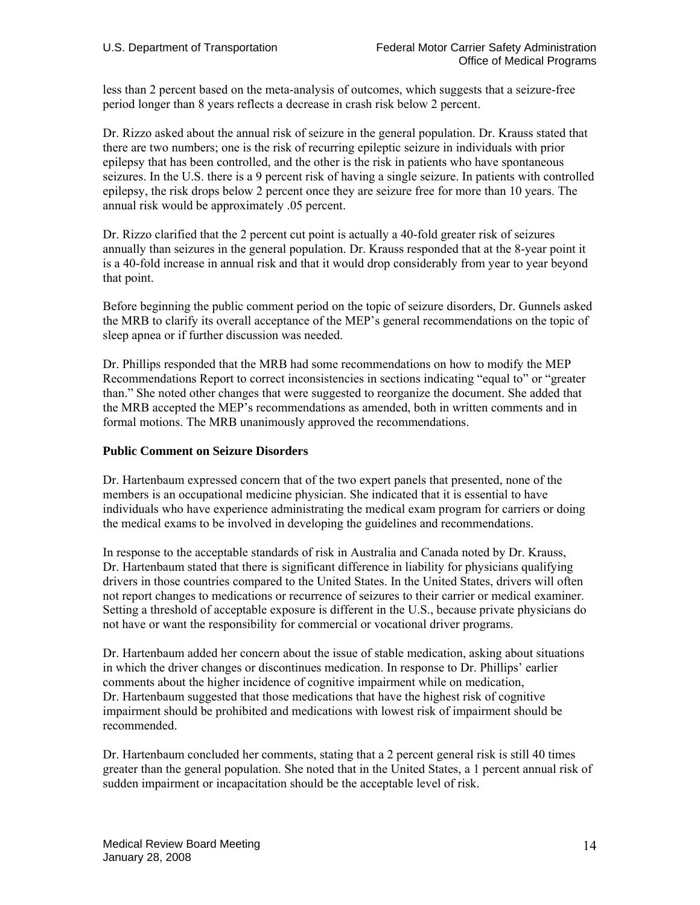less than 2 percent based on the meta-analysis of outcomes, which suggests that a seizure-free period longer than 8 years reflects a decrease in crash risk below 2 percent.

Dr. Rizzo asked about the annual risk of seizure in the general population. Dr. Krauss stated that there are two numbers; one is the risk of recurring epileptic seizure in individuals with prior epilepsy that has been controlled, and the other is the risk in patients who have spontaneous seizures. In the U.S. there is a 9 percent risk of having a single seizure. In patients with controlled epilepsy, the risk drops below 2 percent once they are seizure free for more than 10 years. The annual risk would be approximately .05 percent.

Dr. Rizzo clarified that the 2 percent cut point is actually a 40-fold greater risk of seizures annually than seizures in the general population. Dr. Krauss responded that at the 8-year point it is a 40-fold increase in annual risk and that it would drop considerably from year to year beyond that point.

Before beginning the public comment period on the topic of seizure disorders, Dr. Gunnels asked the MRB to clarify its overall acceptance of the MEP's general recommendations on the topic of sleep apnea or if further discussion was needed.

Dr. Phillips responded that the MRB had some recommendations on how to modify the MEP Recommendations Report to correct inconsistencies in sections indicating "equal to" or "greater than." She noted other changes that were suggested to reorganize the document. She added that the MRB accepted the MEP's recommendations as amended, both in written comments and in formal motions. The MRB unanimously approved the recommendations.

# **Public Comment on Seizure Disorders**

Dr. Hartenbaum expressed concern that of the two expert panels that presented, none of the members is an occupational medicine physician. She indicated that it is essential to have individuals who have experience administrating the medical exam program for carriers or doing the medical exams to be involved in developing the guidelines and recommendations.

In response to the acceptable standards of risk in Australia and Canada noted by Dr. Krauss, Dr. Hartenbaum stated that there is significant difference in liability for physicians qualifying drivers in those countries compared to the United States. In the United States, drivers will often not report changes to medications or recurrence of seizures to their carrier or medical examiner. Setting a threshold of acceptable exposure is different in the U.S., because private physicians do not have or want the responsibility for commercial or vocational driver programs.

Dr. Hartenbaum added her concern about the issue of stable medication, asking about situations in which the driver changes or discontinues medication. In response to Dr. Phillips' earlier comments about the higher incidence of cognitive impairment while on medication, Dr. Hartenbaum suggested that those medications that have the highest risk of cognitive impairment should be prohibited and medications with lowest risk of impairment should be recommended.

Dr. Hartenbaum concluded her comments, stating that a 2 percent general risk is still 40 times greater than the general population. She noted that in the United States, a 1 percent annual risk of sudden impairment or incapacitation should be the acceptable level of risk.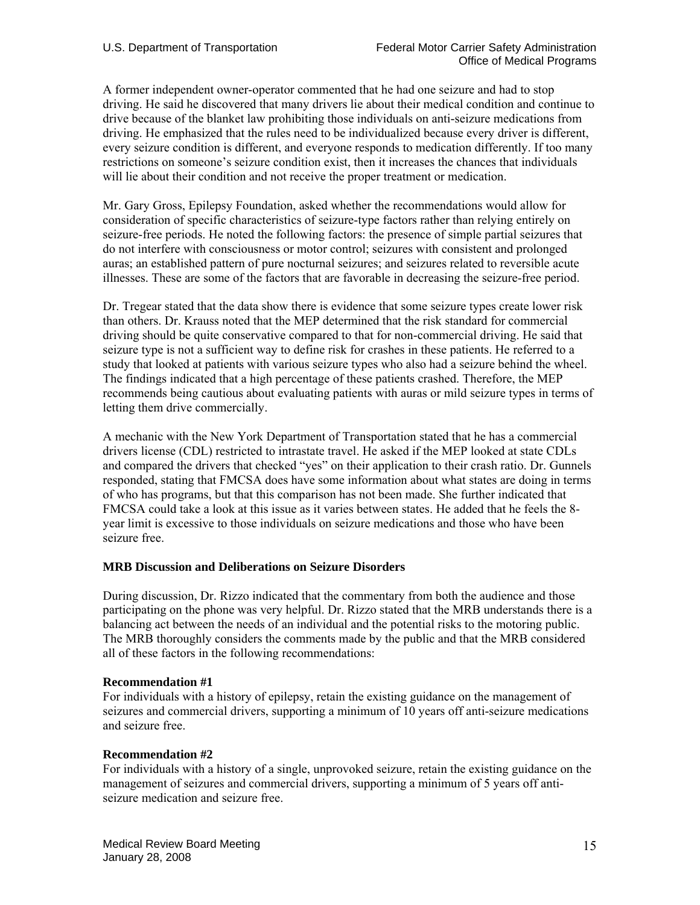A former independent owner-operator commented that he had one seizure and had to stop driving. He said he discovered that many drivers lie about their medical condition and continue to drive because of the blanket law prohibiting those individuals on anti-seizure medications from driving. He emphasized that the rules need to be individualized because every driver is different, every seizure condition is different, and everyone responds to medication differently. If too many restrictions on someone's seizure condition exist, then it increases the chances that individuals will lie about their condition and not receive the proper treatment or medication.

Mr. Gary Gross, Epilepsy Foundation, asked whether the recommendations would allow for consideration of specific characteristics of seizure-type factors rather than relying entirely on seizure-free periods. He noted the following factors: the presence of simple partial seizures that do not interfere with consciousness or motor control; seizures with consistent and prolonged auras; an established pattern of pure nocturnal seizures; and seizures related to reversible acute illnesses. These are some of the factors that are favorable in decreasing the seizure-free period.

Dr. Tregear stated that the data show there is evidence that some seizure types create lower risk than others. Dr. Krauss noted that the MEP determined that the risk standard for commercial driving should be quite conservative compared to that for non-commercial driving. He said that seizure type is not a sufficient way to define risk for crashes in these patients. He referred to a study that looked at patients with various seizure types who also had a seizure behind the wheel. The findings indicated that a high percentage of these patients crashed. Therefore, the MEP recommends being cautious about evaluating patients with auras or mild seizure types in terms of letting them drive commercially.

A mechanic with the New York Department of Transportation stated that he has a commercial drivers license (CDL) restricted to intrastate travel. He asked if the MEP looked at state CDLs and compared the drivers that checked "yes" on their application to their crash ratio. Dr. Gunnels responded, stating that FMCSA does have some information about what states are doing in terms of who has programs, but that this comparison has not been made. She further indicated that FMCSA could take a look at this issue as it varies between states. He added that he feels the 8 year limit is excessive to those individuals on seizure medications and those who have been seizure free.

### **MRB Discussion and Deliberations on Seizure Disorders**

During discussion, Dr. Rizzo indicated that the commentary from both the audience and those participating on the phone was very helpful. Dr. Rizzo stated that the MRB understands there is a balancing act between the needs of an individual and the potential risks to the motoring public. The MRB thoroughly considers the comments made by the public and that the MRB considered all of these factors in the following recommendations:

### **Recommendation #1**

For individuals with a history of epilepsy, retain the existing guidance on the management of seizures and commercial drivers, supporting a minimum of 10 years off anti-seizure medications and seizure free.

### **Recommendation #2**

For individuals with a history of a single, unprovoked seizure, retain the existing guidance on the management of seizures and commercial drivers, supporting a minimum of 5 years off antiseizure medication and seizure free.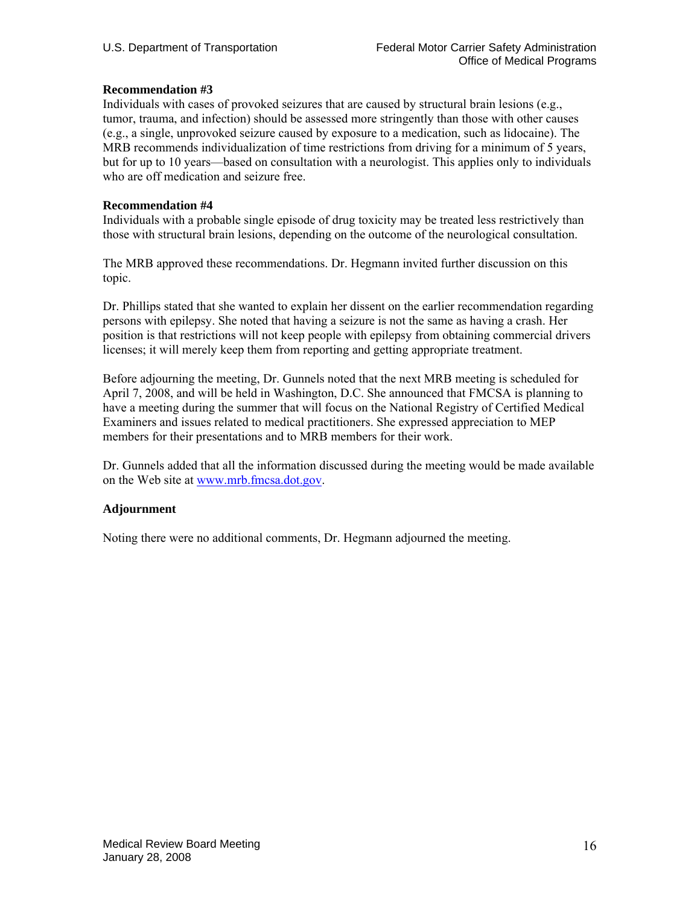# **Recommendation #3**

Individuals with cases of provoked seizures that are caused by structural brain lesions (e.g., tumor, trauma, and infection) should be assessed more stringently than those with other causes (e.g., a single, unprovoked seizure caused by exposure to a medication, such as lidocaine). The MRB recommends individualization of time restrictions from driving for a minimum of 5 years, but for up to 10 years—based on consultation with a neurologist. This applies only to individuals who are off medication and seizure free.

### **Recommendation #4**

Individuals with a probable single episode of drug toxicity may be treated less restrictively than those with structural brain lesions, depending on the outcome of the neurological consultation.

The MRB approved these recommendations. Dr. Hegmann invited further discussion on this topic.

Dr. Phillips stated that she wanted to explain her dissent on the earlier recommendation regarding persons with epilepsy. She noted that having a seizure is not the same as having a crash. Her position is that restrictions will not keep people with epilepsy from obtaining commercial drivers licenses; it will merely keep them from reporting and getting appropriate treatment.

Before adjourning the meeting, Dr. Gunnels noted that the next MRB meeting is scheduled for April 7, 2008, and will be held in Washington, D.C. She announced that FMCSA is planning to have a meeting during the summer that will focus on the National Registry of Certified Medical Examiners and issues related to medical practitioners. She expressed appreciation to MEP members for their presentations and to MRB members for their work.

Dr. Gunnels added that all the information discussed during the meeting would be made available on the Web site at www.mrb.fmcsa.dot.gov.

# **Adjournment**

Noting there were no additional comments, Dr. Hegmann adjourned the meeting.